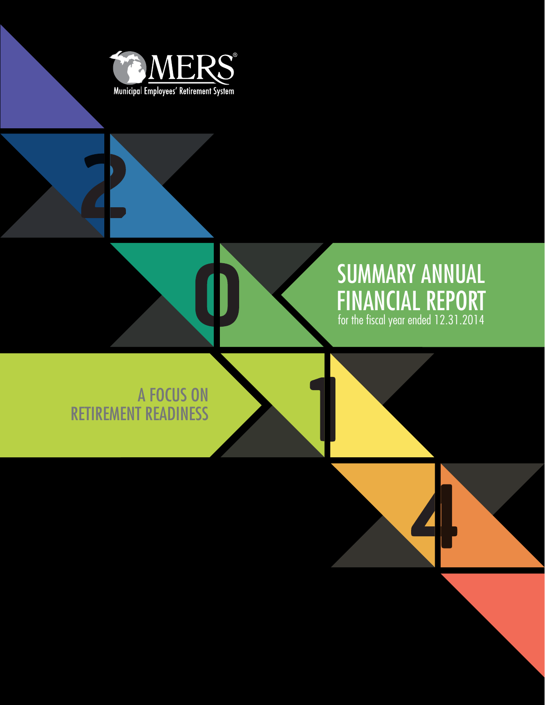

# SUMMARY ANNUAL FINANCIAL REPORT for the fiscal year ended 12.31.2014

A FOCUS ON RETIREMENT READINESS



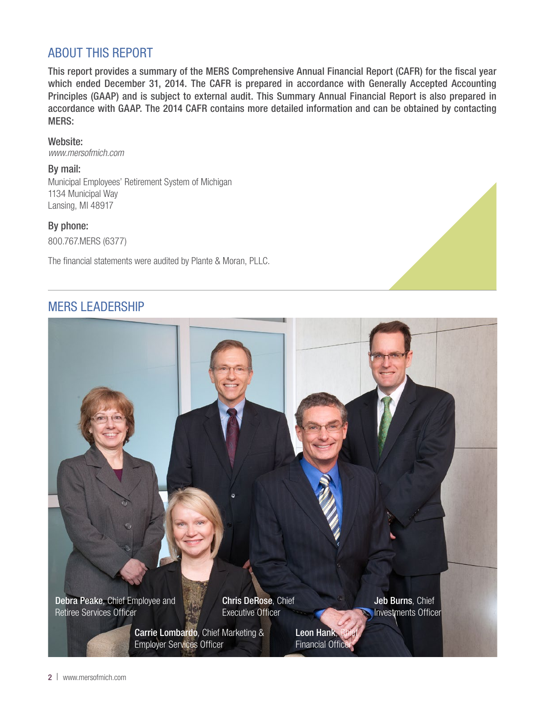# ABOUT THIS REPORT

This report provides a summary of the MERS Comprehensive Annual Financial Report (CAFR) for the fiscal year which ended December 31, 2014. The CAFR is prepared in accordance with Generally Accepted Accounting Principles (GAAP) and is subject to external audit. This Summary Annual Financial Report is also prepared in accordance with GAAP. The 2014 CAFR contains more detailed information and can be obtained by contacting MERS:

Website: *www.mersofmich.com*

By mail:

Municipal Employees' Retirement System of Michigan 1134 Municipal Way Lansing, MI 48917

By phone: 800.767.MERS (6377)

The financial statements were audited by Plante & Moran, PLLC.

## MERS LEADERSHIP

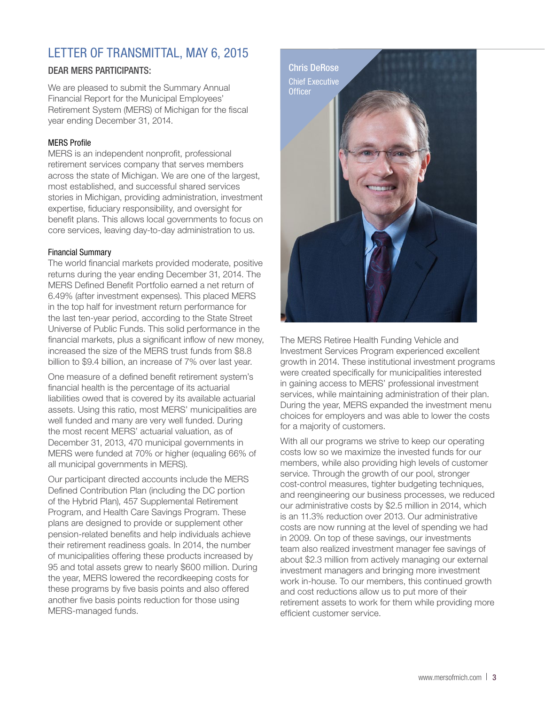# LETTER OF TRANSMITTAL, MAY 6, 2015

## DEAR MERS PARTICIPANTS:

We are pleased to submit the Summary Annual Financial Report for the Municipal Employees' Retirement System (MERS) of Michigan for the fiscal year ending December 31, 2014.

### MERS Profile

MERS is an independent nonprofit, professional retirement services company that serves members across the state of Michigan. We are one of the largest, most established, and successful shared services stories in Michigan, providing administration, investment expertise, fiduciary responsibility, and oversight for benefit plans. This allows local governments to focus on core services, leaving day-to-day administration to us.

#### Financial Summary

The world financial markets provided moderate, positive returns during the year ending December 31, 2014. The MERS Defined Benefit Portfolio earned a net return of 6.49% (after investment expenses). This placed MERS in the top half for investment return performance for the last ten-year period, according to the State Street Universe of Public Funds. This solid performance in the financial markets, plus a significant inflow of new money, increased the size of the MERS trust funds from \$8.8 billion to \$9.4 billion, an increase of 7% over last year.

One measure of a defined benefit retirement system's financial health is the percentage of its actuarial liabilities owed that is covered by its available actuarial assets. Using this ratio, most MERS' municipalities are well funded and many are very well funded. During the most recent MERS' actuarial valuation, as of December 31, 2013, 470 municipal governments in MERS were funded at 70% or higher (equaling 66% of all municipal governments in MERS).

Our participant directed accounts include the MERS Defined Contribution Plan (including the DC portion of the Hybrid Plan), 457 Supplemental Retirement Program, and Health Care Savings Program. These plans are designed to provide or supplement other pension-related benefits and help individuals achieve their retirement readiness goals. In 2014, the number of municipalities offering these products increased by 95 and total assets grew to nearly \$600 million. During the year, MERS lowered the recordkeeping costs for these programs by five basis points and also offered another five basis points reduction for those using MERS-managed funds.



The MERS Retiree Health Funding Vehicle and Investment Services Program experienced excellent growth in 2014. These institutional investment programs were created specifically for municipalities interested in gaining access to MERS' professional investment services, while maintaining administration of their plan. During the year, MERS expanded the investment menu choices for employers and was able to lower the costs for a majority of customers.

With all our programs we strive to keep our operating costs low so we maximize the invested funds for our members, while also providing high levels of customer service. Through the growth of our pool, stronger cost-control measures, tighter budgeting techniques, and reengineering our business processes, we reduced our administrative costs by \$2.5 million in 2014, which is an 11.3% reduction over 2013. Our administrative costs are now running at the level of spending we had in 2009. On top of these savings, our investments team also realized investment manager fee savings of about \$2.3 million from actively managing our external investment managers and bringing more investment work in-house. To our members, this continued growth and cost reductions allow us to put more of their retirement assets to work for them while providing more efficient customer service.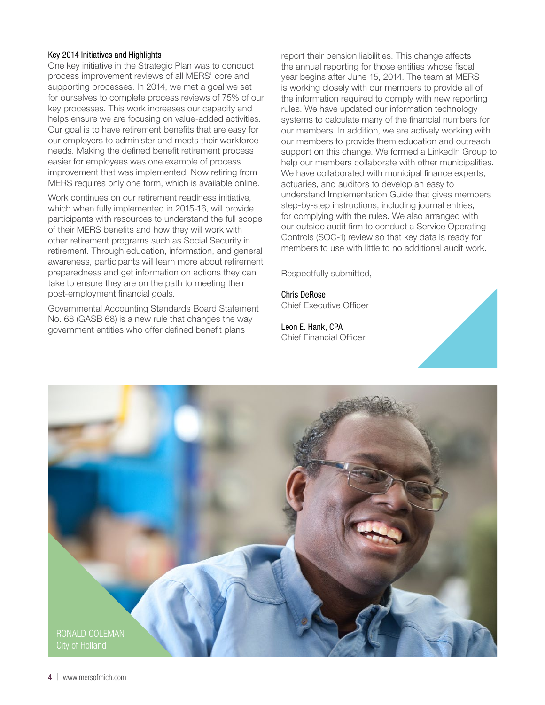#### Key 2014 Initiatives and Highlights

One key initiative in the Strategic Plan was to conduct process improvement reviews of all MERS' core and supporting processes. In 2014, we met a goal we set for ourselves to complete process reviews of 75% of our key processes. This work increases our capacity and helps ensure we are focusing on value-added activities. Our goal is to have retirement benefits that are easy for our employers to administer and meets their workforce needs. Making the defined benefit retirement process easier for employees was one example of process improvement that was implemented. Now retiring from MERS requires only one form, which is available online.

Work continues on our retirement readiness initiative, which when fully implemented in 2015-16, will provide participants with resources to understand the full scope of their MERS benefits and how they will work with other retirement programs such as Social Security in retirement. Through education, information, and general awareness, participants will learn more about retirement preparedness and get information on actions they can take to ensure they are on the path to meeting their post-employment financial goals.

Governmental Accounting Standards Board Statement No. 68 (GASB 68) is a new rule that changes the way government entities who offer defined benefit plans

report their pension liabilities. This change affects the annual reporting for those entities whose fiscal year begins after June 15, 2014. The team at MERS is working closely with our members to provide all of the information required to comply with new reporting rules. We have updated our information technology systems to calculate many of the financial numbers for our members. In addition, we are actively working with our members to provide them education and outreach support on this change. We formed a LinkedIn Group to help our members collaborate with other municipalities. We have collaborated with municipal finance experts, actuaries, and auditors to develop an easy to understand Implementation Guide that gives members step-by-step instructions, including journal entries, for complying with the rules. We also arranged with our outside audit firm to conduct a Service Operating Controls (SOC-1) review so that key data is ready for members to use with little to no additional audit work.

Respectfully submitted,

Chris DeRose Chief Executive Officer

Leon E. Hank, CPA Chief Financial Officer

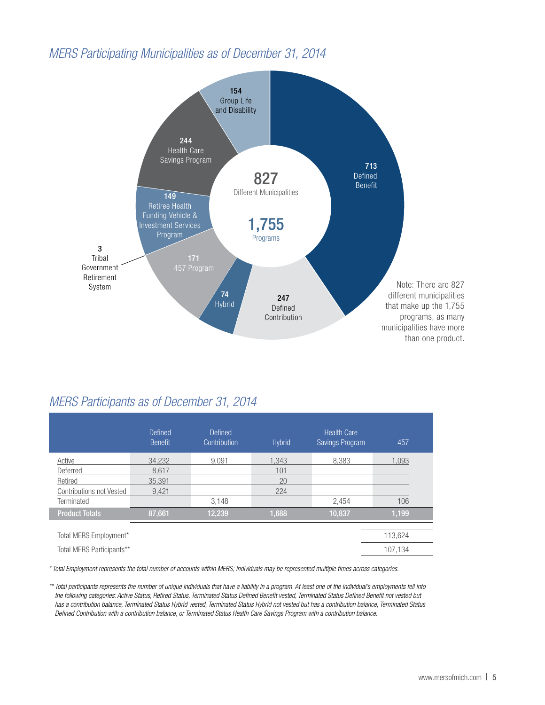## *MERS Participating Municipalities as of December 31, 2014*



## *MERS Participants as of December 31, 2014*

|                                 | Defined<br><b>Benefit</b> | <b>Defined</b><br>Contribution | <b>Hybrid</b> | <b>Health Care</b><br>Savings Program | 457     |
|---------------------------------|---------------------------|--------------------------------|---------------|---------------------------------------|---------|
| Active                          | 34.232                    | 9,091                          | 1.343         | 8.383                                 | 1,093   |
| Deferred                        | 8.617                     |                                | 101           |                                       |         |
| Retired                         | 35,391                    |                                | 20            |                                       |         |
| <b>Contributions not Vested</b> | 9.421                     |                                | 224           |                                       |         |
| Terminated                      |                           | 3,148                          |               | 2,454                                 | 106     |
| <b>Product Totals</b>           | 87,661                    | 12,239                         | 1,688         | 10,837                                | 1,199   |
|                                 |                           |                                |               |                                       |         |
| Total MERS Employment*          |                           |                                |               |                                       | 113,624 |
| Total MERS Participants**       |                           |                                |               |                                       | 107,134 |

*\* Total Employment represents the total number of accounts within MERS; individuals may be represented multiple times across categories.* 

*\*\* Total participants represents the number of unique individuals that have a liability in a program. At least one of the individual's employments fell into the following categories: Active Status, Retired Status, Terminated Status Defined Benefit vested, Terminated Status Defined Benefit not vested but has a contribution balance, Terminated Status Hybrid vested, Terminated Status Hybrid not vested but has a contribution balance, Terminated Status Defined Contribution with a contribution balance, or Terminated Status Health Care Savings Program with a contribution balance.*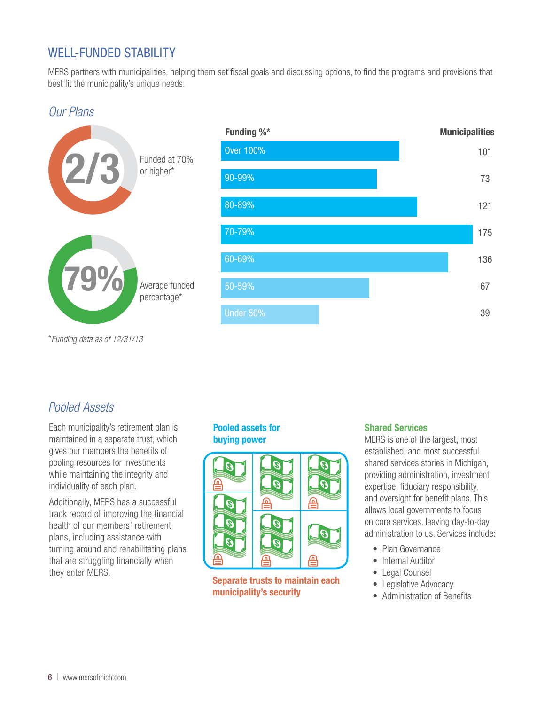# WELL-FUNDED STABILITY

MERS partners with municipalities, helping them set fiscal goals and discussing options, to find the programs and provisions that best fit the municipality's unique needs.

## *Our Plans*



# *Pooled Assets*

Each municipality's retirement plan is maintained in a separate trust, which gives our members the benefits of pooling resources for investments while maintaining the integrity and individuality of each plan.

Additionally, MERS has a successful track record of improving the financial health of our members' retirement plans, including assistance with turning around and rehabilitating plans that are struggling financially when they enter MERS.

## Pooled assets for buying power



Separate trusts to maintain each municipality's security

## Shared Services

MERS is one of the largest, most established, and most successful shared services stories in Michigan, providing administration, investment expertise, fiduciary responsibility, and oversight for benefit plans. This allows local governments to focus on core services, leaving day-to-day administration to us. Services include:

- Plan Governance
- Internal Auditor
- Legal Counsel
- Legislative Advocacy
- Administration of Benefits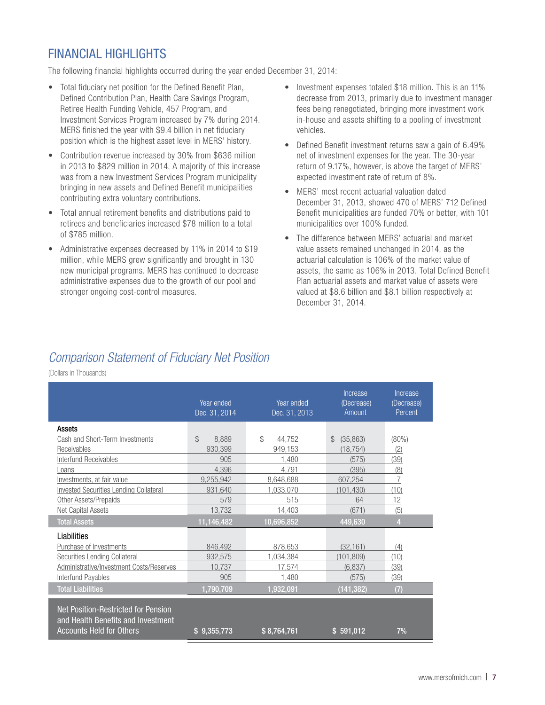# FINANCIAL HIGHLIGHTS

The following financial highlights occurred during the year ended December 31, 2014:

- Total fiduciary net position for the Defined Benefit Plan, Defined Contribution Plan, Health Care Savings Program, Retiree Health Funding Vehicle, 457 Program, and Investment Services Program increased by 7% during 2014. MERS finished the year with \$9.4 billion in net fiduciary position which is the highest asset level in MERS' history.
- Contribution revenue increased by 30% from \$636 million in 2013 to \$829 million in 2014. A majority of this increase was from a new Investment Services Program municipality bringing in new assets and Defined Benefit municipalities contributing extra voluntary contributions.
- Total annual retirement benefits and distributions paid to retirees and beneficiaries increased \$78 million to a total of \$785 million.
- Administrative expenses decreased by 11% in 2014 to \$19 million, while MERS grew significantly and brought in 130 new municipal programs. MERS has continued to decrease administrative expenses due to the growth of our pool and stronger ongoing cost-control measures.
- Investment expenses totaled \$18 million. This is an 11% decrease from 2013, primarily due to investment manager fees being renegotiated, bringing more investment work in-house and assets shifting to a pooling of investment vehicles.
- Defined Benefit investment returns saw a gain of 6.49% net of investment expenses for the year. The 30-year return of 9.17%, however, is above the target of MERS' expected investment rate of return of 8%.
- MERS' most recent actuarial valuation dated December 31, 2013, showed 470 of MERS' 712 Defined Benefit municipalities are funded 70% or better, with 101 municipalities over 100% funded.
- The difference between MERS' actuarial and market value assets remained unchanged in 2014, as the actuarial calculation is 106% of the market value of assets, the same as 106% in 2013. Total Defined Benefit Plan actuarial assets and market value of assets were valued at \$8.6 billion and \$8.1 billion respectively at December 31, 2014.

# *Comparison Statement of Fiduciary Net Position*

(Dollars in Thousands)

|                                                                                                              | Year ended<br>Dec. 31, 2014 | Year ended<br>Dec. 31, 2013 | Increase<br>(Decrease)<br>Amount | Increase<br>(Decrease)<br>Percent |
|--------------------------------------------------------------------------------------------------------------|-----------------------------|-----------------------------|----------------------------------|-----------------------------------|
| Assets                                                                                                       |                             |                             |                                  |                                   |
| Cash and Short-Term Investments                                                                              | \$<br>8.889                 | \$<br>44.752                | (35.863)<br>$\mathbb{S}$         | $(80\%)$                          |
| Receivables                                                                                                  | 930.399                     | 949.153                     | (18.754)                         | (2)                               |
| Interfund Receivables                                                                                        | 905                         | 1,480                       | (575)                            | (39)                              |
| Loans                                                                                                        | 4.396                       | 4.791                       | (395)                            | (8)                               |
| Investments, at fair value                                                                                   | 9.255.942                   | 8,648,688                   | 607.254                          | 7                                 |
| <b>Invested Securities Lending Collateral</b>                                                                | 931.640                     | 1,033,070                   | (101.430)                        | (10)                              |
| Other Assets/Prepaids                                                                                        | 579                         | 515                         | 64                               | 12                                |
| <b>Net Capital Assets</b>                                                                                    | 13,732                      | 14.403                      | (671)                            | (5)                               |
| <b>Total Assets</b>                                                                                          | 11,146,482                  | 10,696,852                  | 449,630                          | 4                                 |
| Liabilities                                                                                                  |                             |                             |                                  |                                   |
| Purchase of Investments                                                                                      | 846.492                     | 878.653                     | (32.161)                         | (4)                               |
| <b>Securities Lending Collateral</b>                                                                         | 932.575                     | 1.034.384                   | (101, 809)                       | (10)                              |
| Administrative/Investment Costs/Reserves                                                                     | 10,737                      | 17,574                      | (6,837)                          | (39)                              |
| Interfund Payables                                                                                           | 905                         | 1,480                       | (575)                            | (39)                              |
| <b>Total Liabilities</b>                                                                                     | 1,790,709                   | 1,932,091                   | (141, 382)                       | (7)                               |
| Net Position-Restricted for Pension<br>and Health Benefits and Investment<br><b>Accounts Held for Others</b> | \$9,355,773                 | \$8,764,761                 | \$591,012                        | 7%                                |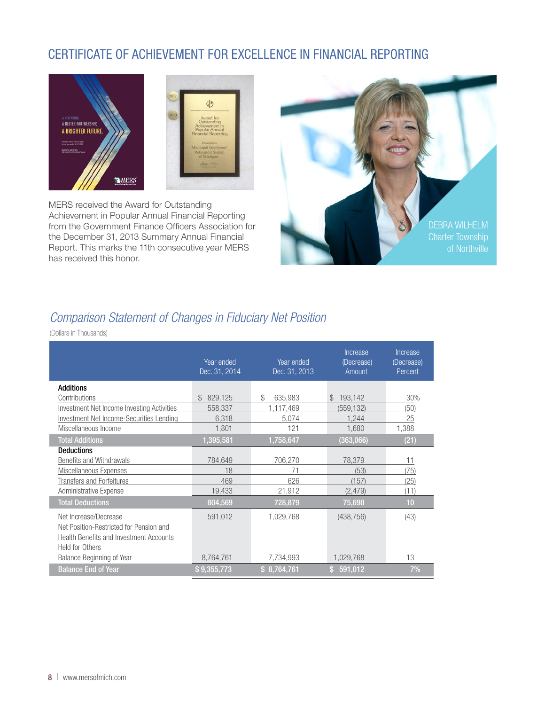# CERTIFICATE OF ACHIEVEMENT FOR EXCELLENCE IN FINANCIAL REPORTING





MERS received the Award for Outstanding Achievement in Popular Annual Financial Reporting from the Government Finance Officers Association for the December 31, 2013 Summary Annual Financial Report. This marks the 11th consecutive year MERS has received this honor.



# *Comparison Statement of Changes in Fiduciary Net Position*

(Dollars in Thousands)

|                                                                                                              | Year ended<br>Dec. 31, 2014 | Year ended<br>Dec. 31, 2013 | Increase<br>(Decrease)<br>Amount | Increase<br>(Decrease)<br>Percent |
|--------------------------------------------------------------------------------------------------------------|-----------------------------|-----------------------------|----------------------------------|-----------------------------------|
| <b>Additions</b>                                                                                             |                             |                             |                                  |                                   |
| Contributions                                                                                                | 829,125<br>$\mathcal{S}$    | \$.<br>635,983              | 193.142<br>$\mathcal{S}$         | 30%                               |
| <b>Investment Net Income Investing Activities</b>                                                            | 558,337                     | 1,117,469                   | (559, 132)                       | (50)                              |
| Investment Net Income-Securities Lending                                                                     | 6,318                       | 5,074                       | 1.244                            | 25                                |
| Miscellaneous Income                                                                                         | 1,801                       | 121                         | 1,680                            | 1,388                             |
| <b>Total Additions</b>                                                                                       | 1,395,581                   | 1,758,647                   | (363,066)                        | (21)                              |
| <b>Deductions</b>                                                                                            |                             |                             |                                  |                                   |
| Benefits and Withdrawals                                                                                     | 784.649                     | 706.270                     | 78.379                           | 11                                |
| Miscellaneous Expenses                                                                                       | 18                          | 71                          | (53)                             | (75)                              |
| <b>Transfers and Forfeitures</b>                                                                             | 469                         | 626                         | (157)                            | (25)                              |
| Administrative Expense                                                                                       | 19,433                      | 21,912                      | (2, 479)                         | (11)                              |
| <b>Total Deductions</b>                                                                                      | 804,569                     | 728,879                     | 75,690                           | 10                                |
| Net Increase/Decrease                                                                                        | 591,012                     | 1,029,768                   | (438, 756)                       | (43)                              |
| Net Position-Restricted for Pension and<br><b>Health Benefits and Investment Accounts</b><br>Held for Others |                             |                             |                                  |                                   |
| Balance Beginning of Year                                                                                    | 8,764,761                   | 7,734,993                   | 1,029,768                        | 13                                |
| <b>Balance End of Year</b>                                                                                   | \$9,355,773                 | \$8,764,761                 | \$591,012                        | 7%                                |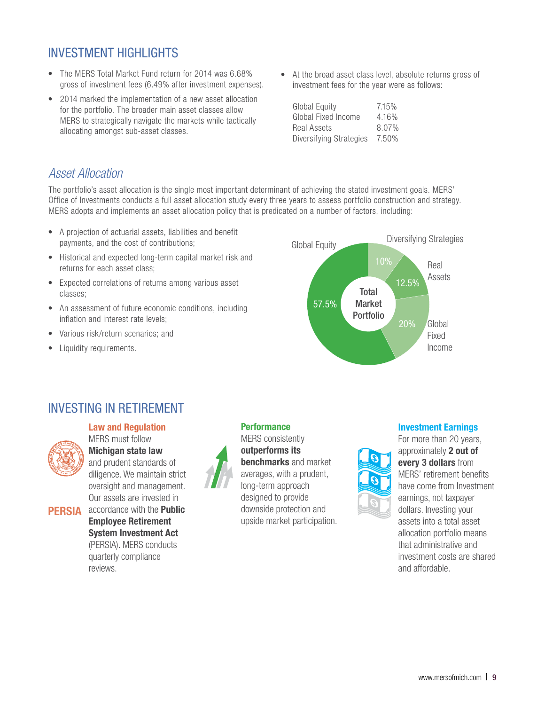# INVESTMENT HIGHLIGHTS

- The MERS Total Market Fund return for 2014 was 6.68% gross of investment fees (6.49% after investment expenses).
- 2014 marked the implementation of a new asset allocation for the portfolio. The broader main asset classes allow MERS to strategically navigate the markets while tactically allocating amongst sub-asset classes.
- At the broad asset class level, absolute returns gross of investment fees for the year were as follows:

| Global Equity           | 7.15% |
|-------------------------|-------|
| Global Fixed Income     | 4.16% |
| Real Assets             | 8.07% |
| Diversifying Strategies | 7.50% |

## *Asset Allocation*

The portfolio's asset allocation is the single most important determinant of achieving the stated investment goals. MERS' Office of Investments conducts a full asset allocation study every three years to assess portfolio construction and strategy. MERS adopts and implements an asset allocation policy that is predicated on a number of factors, including:

- A projection of actuarial assets, liabilities and benefit payments, and the cost of contributions;
- Historical and expected long-term capital market risk and returns for each asset class;
- Expected correlations of returns among various asset classes;
- An assessment of future economic conditions, including inflation and interest rate levels;
- Various risk/return scenarios; and
- Liquidity requirements.



## INVESTING IN RETIREMENT



Law and Regulation MERS must follow Michigan state law and prudent standards of diligence. We maintain strict oversight and management. Our assets are invested in accordance with the Public

PERSIA

Employee Retirement System Investment Act (PERSIA). MERS conducts quarterly compliance reviews.



**Performance** 

MERS consistently outperforms its benchmarks and market averages, with a prudent, long-term approach designed to provide downside protection and upside market participation.



For more than 20 years, approximately 2 out of every 3 dollars from MERS' retirement benefits have come from Investment earnings, not taxpayer dollars. Investing your assets into a total asset allocation portfolio means that administrative and investment costs are shared

and affordable.

Investment Earnings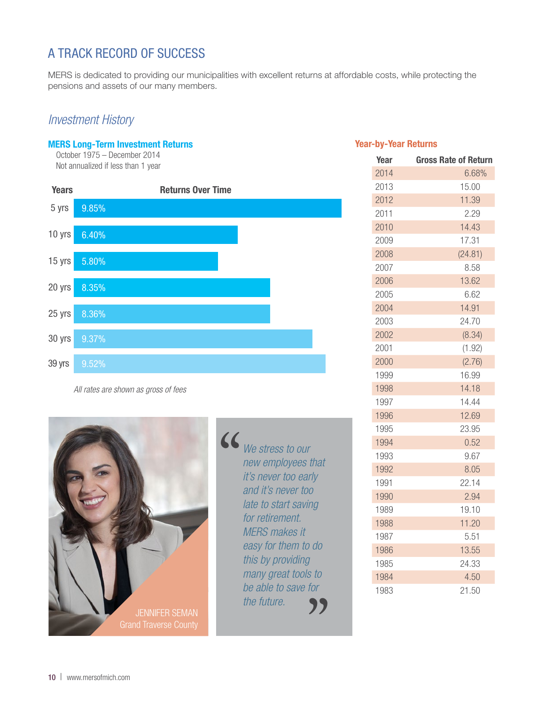# A TRACK RECORD OF SUCCESS

MERS is dedicated to providing our municipalities with excellent returns at affordable costs, while protecting the pensions and assets of our many members.

## *Investment History*

## MERS Long-Term Investment Returns

October 1975 – December 2014 Not annualized if less than 1 year



*All rates are shown as gross of fees*



*We stress to our*<br> *new employees t*<br> *it's never too ear*<br> *and it's never too new employees that it's never too early and it's never too late to start saving for retirement. MERS makes it easy for them to do this by providing many great tools to be able to save for the future.* s to<br>for<br>??

## Year-by-Year Returns

| Year | <b>Gross Rate of Return</b> |
|------|-----------------------------|
| 2014 | 6.68%                       |
| 2013 | 15.00                       |
| 2012 | 11.39                       |
| 2011 | 2.29                        |
| 2010 | 14.43                       |
| 2009 | 17.31                       |
| 2008 | (24.81)                     |
| 2007 | 8.58                        |
| 2006 | 13.62                       |
| 2005 | 6.62                        |
| 2004 | 14.91                       |
| 2003 | 24.70                       |
| 2002 | (8.34)                      |
| 2001 | (1.92)                      |
| 2000 | (2.76)                      |
| 1999 | 16.99                       |
| 1998 | 14.18                       |
| 1997 | 14.44                       |
| 1996 | 12.69                       |
| 1995 | 23.95                       |
| 1994 | 0.52                        |
| 1993 | 9.67                        |
| 1992 | 8.05                        |
| 1991 | 22.14                       |
| 1990 | 2.94                        |
| 1989 | 19.10                       |
| 1988 | 11.20                       |
| 1987 | 5.51                        |
| 1986 | 13.55                       |
| 1985 | 24.33                       |
| 1984 | 4.50                        |
| 1983 | 21.50                       |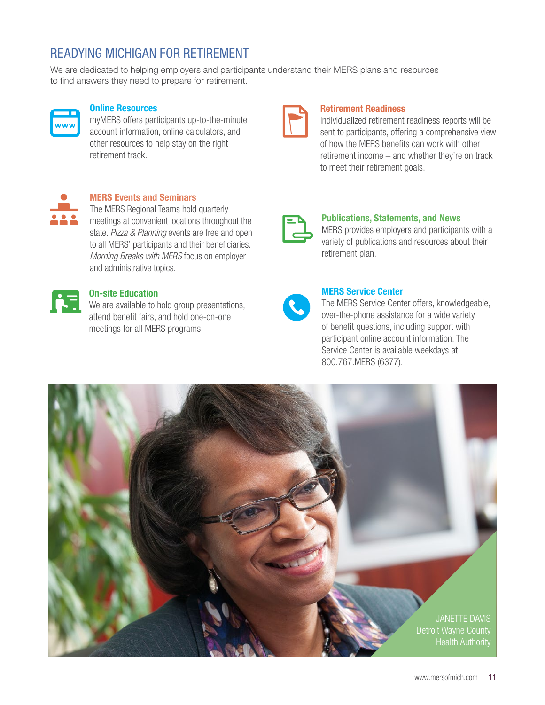# READYING MICHIGAN FOR RETIREMENT

We are dedicated to helping employers and participants understand their MERS plans and resources to find answers they need to prepare for retirement.



## Online Resources

myMERS offers participants up-to-the-minute account information, online calculators, and other resources to help stay on the right retirement track.



## MERS Events and Seminars

The MERS Regional Teams hold quarterly meetings at convenient locations throughout the state. *Pizza & Planning* events are free and open to all MERS' participants and their beneficiaries. *Morning Breaks with MERS* focus on employer and administrative topics.



## On-site Education

**C**<br> **C**<br>
We are available to hold group presentations, attend benefit fairs, and hold one-on-one meetings for all MERS programs.

## Retirement Readiness

Individualized retirement readiness reports will be sent to participants, offering a comprehensive view of how the MERS benefits can work with other retirement income – and whether they're on track to meet their retirement goals.



#### Publications, Statements, and News

MERS provides employers and participants with a variety of publications and resources about their retirement plan.

## MERS Service Center

The MERS Service Center offers, knowledgeable, over-the-phone assistance for a wide variety of benefit questions, including support with participant online account information. The Service Center is available weekdays at 800.767.MERS (6377).